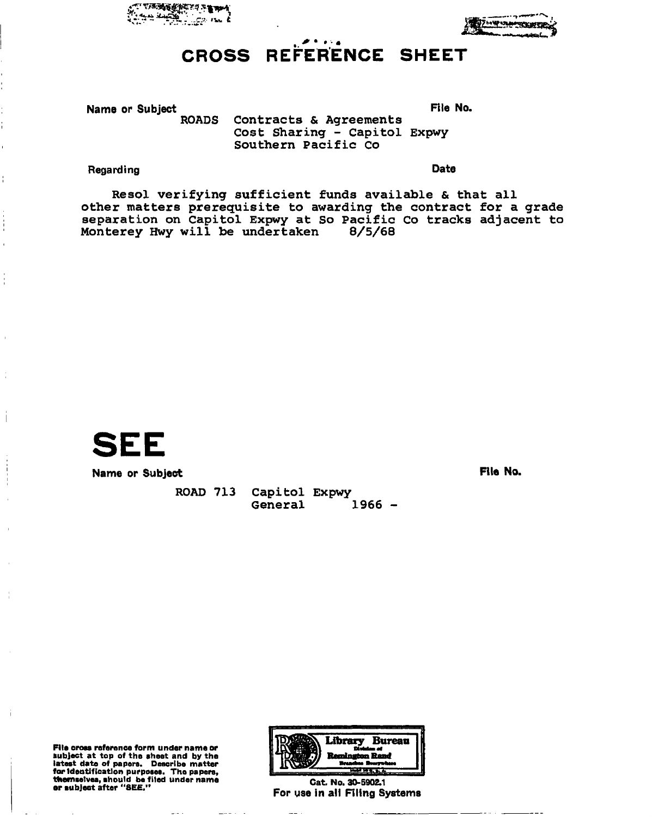



. . . . CROSS REFERENCE SHEET

Name or Subject<br>ROADS Contracts & Agreements<br>File No. Contracts & Agreements Cost Sharing - Capitol Expwy Southern Pacific Co

## Regarding **Date**

Ť

Resol verifying sufficient funds available & that all other matters prerequisite to awarding the contract for a grade separation on Capitol Expwy at So Pacific Co tracks adjacent to<br>Monterey Hwy will be undertaken 8/5/68 Monterey Hwy will be undertaken



Name or Subject **File No.** 

ROAD 713 Capitol Expwy General 1966 -

File cross reference form under name or subject at top of the sheet and by the latest date of papers. Describe matter for Identification purposes. The papers, themselves, should be fited under name or subject after "SEE." Cat. No. 30-5902.1

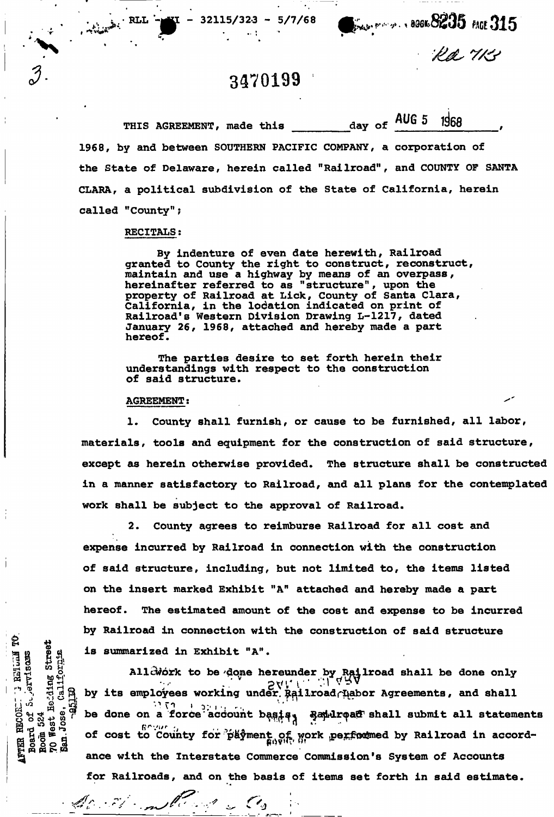$32115/323 - 5/7/68$   $\frac{1}{245}$   $\frac{1}{25}$  MGE 315

Ra 113

## **3470199**

THIS AGREEMENT, made this \_\_\_\_\_\_\_\_ day of AUG 5 1968 1968, by and between SOUTHERN PACIFIC COMPANY, a corporation of the State of Delaware, herein called "Railroad", and COUNTY OF SANTA CLARA, a political subdivision of the State of California, herein called "County";

### RECITALS:

,  $\mathbb{R}$  ,  $\mathbb{R}$  ,  $\mathbb{R}$  ,  $\mathbb{R}$  ,  $\mathbb{R}$  ,  $\mathbb{R}$  ,  $\mathbb{R}$  ,  $\mathbb{R}$  ,  $\mathbb{R}$  ,  $\mathbb{R}$  ,  $\mathbb{R}$  ,  $\mathbb{R}$  ,  $\mathbb{R}$  ,  $\mathbb{R}$  ,  $\mathbb{R}$  ,  $\mathbb{R}$  ,  $\mathbb{R}$  ,  $\mathbb{R}$  ,  $\mathbb{R}$  ,  $\mathbb{R}$  ,

•

Street<br><sub>OKE</sub>

**d** 024<br> **b** 324<br>
d 85<br>
d cee

By indenture of even date herewith, Railroad granted to County the right to construct, reconstruct, maintain and use a highway by means of an overpass, hereinafter referred to as "structure", upon the property of Railroad at Lick, County of Santa Clara, California, in the location indicated on print of Railroad's Western Division Drawing L-1217, dated January 26, 1968, attached and hereby made a part hereof.

The parties desire to set forth herein their understandings with respect to the construction of said structure.

#### AGREEMENT:

Accordinate de Co

1. County shall furnish, or cause to be furnished, all labor, materials, tools and equipment for the construction of said structure, except as herein otherwise provided. The structure shall be constructed in a manner satisfactory to Railroad, and all plans for the contemplated work shall be subject to the approval of Railroad,

2. County agrees to reimburse Railroad for all cost and expense incurred by Railroad in connection with the construction of said structure, including, but not limited to, the items listed on the insert marked Exhibit "A" attached and hereby made a part hereof. The estimated amount of the cost and expense to be incurred by Railroad in connection with the construction of said structure is summarized in Exhibit "A".

Allcwork to be done hereunder by Railroad shall be done only a by its employees working under,  $\frac{1}{2}$  by its employees working under,  $\frac{1}{2}$ ,  $\frac{1}{2}$ ,  $\frac{1}{2}$ ,  $\frac{1}{2}$ ,  $\frac{1}{2}$ ,  $\frac{1}{2}$ ,  $\frac{1}{2}$ ,  $\frac{1}{2}$ ,  $\frac{1}{2}$ ,  $\frac{1}{2}$ ,  $\frac{1}{2}$ ,  $\frac{1}{2}$ ,  $\frac{1}{2}$ ,  $\frac$ be done on a force account basis, Bandroad shall submit all statements of cost to County for payment of work performed by Railroad in accordance with the Interstate Commerce Commission's System of Accounts for Railroads, and on the basis of items set forth in said estimate.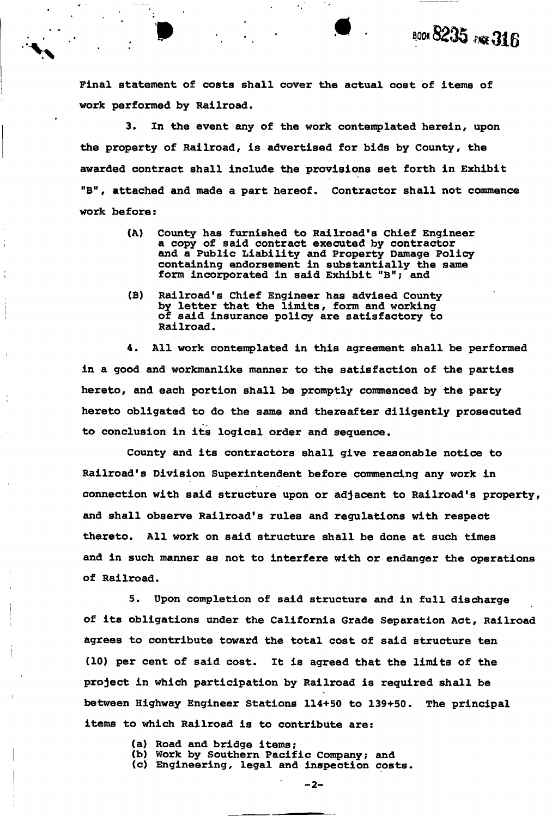Final statement of costs shall cover the actual cost of items of work performed by Railroad.

 $\ddot{\phantom{a}}$  .

**BOOK 8235 RAF 316** 

3. In the event any of the work contemplated herein, upon the property of Railroad, is advertised for bids by County, the awarded contract shall include the provisions set forth in Exhibit "B", attached and made a part hereof. Contractor shall not commence work before:

- (A) County has furnished to Railroad's Chief Engineer a copy of said contract executed by contractor and a Public Liability and Property Damage Policy containing endorsement in substantially the same form incorporated in said Exhibit "B"; and
- (B) Railroad's Chief Engineer has advised County by letter that the limits, form and working of said insurance policy are satisfactory to Railroad.

4. All work contemplated in this agreement shall be performed in a good and workmanlike manner to the satisfaction of the parties hereto, and each portion shall be promptly commenced by the party hereto obligated to do the same and thereafter diligently prosecuted to conclusion in its logical order and sequence.

County and its contractors shall give reasonable notice to Railroad's Division Superintendent before commencing any work in connection with said structure upon or adjacent to Railroad's property, and shall observe Railroad's rules and regulations with respect thereto. All work on said structure shall be done at such times and in such manner as not to interfere with or endanger the operations of Railroad.

5. Upon completion of said structure and in full discharge of its obligations under the California Grade Separation Act, Railroad agrees to contribute toward the total cost of said structure ten (10) per cent of said cost. It is agreed that the limits of the project in which participation by Railroad is required shall be between Highway Engineer Stations 114+50 to 139+50. The principal items to which Railroad is to contribute are:

- (a) Road and bridge items;
- (b) Work by Southern Pacific Company; and
- (c) Engineering, legal and inspection costs.

 $-2-$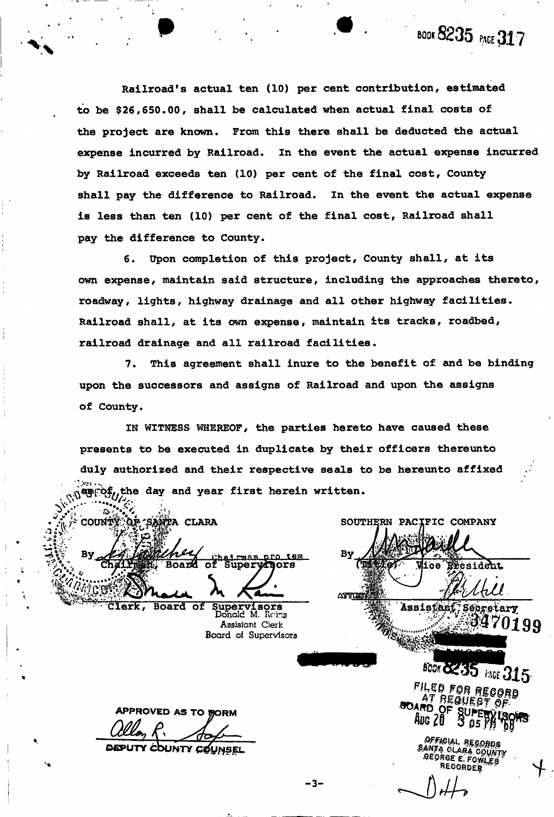Railroad's actual ten (10) per cent contribution, estimated to be \$26,650.00, shall be calculated when actual final costs of the project are known. From this there shall be deducted the actual expense incurred by Railroad. In the event the actual expense incurred by Railroad exceeds ten (10) per cent of the final cost, County shall pay the difference to Railroad. In the event the actual expense is less than ten (10) per cent of the final cost, Railroad shall pay the difference to County.

6. Upon completion of this project, County shall, at its own expense, maintain said structure, including the approaches thereto, roadway, lights, highway drainage and all other highway facilities. Railroad shall, at its own expense, maintain its tracks, roadbed, railroad drainage and all railroad facilities.

7. This agreement shall inure to the benefit of and be binding of County. upon the successors and assigns of Railroad and upon the assigns

IN WITNESS WHEREOF, the parties hereto have caused these presents to be executed in duplicate by their officers thereunto duly authorized and their respective seals to be hereunto affixed  $\mathbb{F}^{\text{ref}}$ , the day and year first herein written.

COUNTY OF SANTA CLARA hairman pro tem<br>Superyficrs Board оf **Clerk,** 

Supervisors<br>Donald M. Reins Board of **Assistant Clerk** Board of Supervisors

SOUTHERN PACIFIC COMPANY By Eresident **Viice ARTITLE** Assistant, Secretary

**BOOK 6235 HAGE 315-**FILED FOR RECORD **REQUEST O** 

0199

BOOK **8235** PACE **317** 

Aug 20

FICIAL REGORDS ANTA CLARA COUNTY GEORGE E. FOWL RECORDER

Calon 1 APPROVED AS TO BORM

COUNTY COUNSEL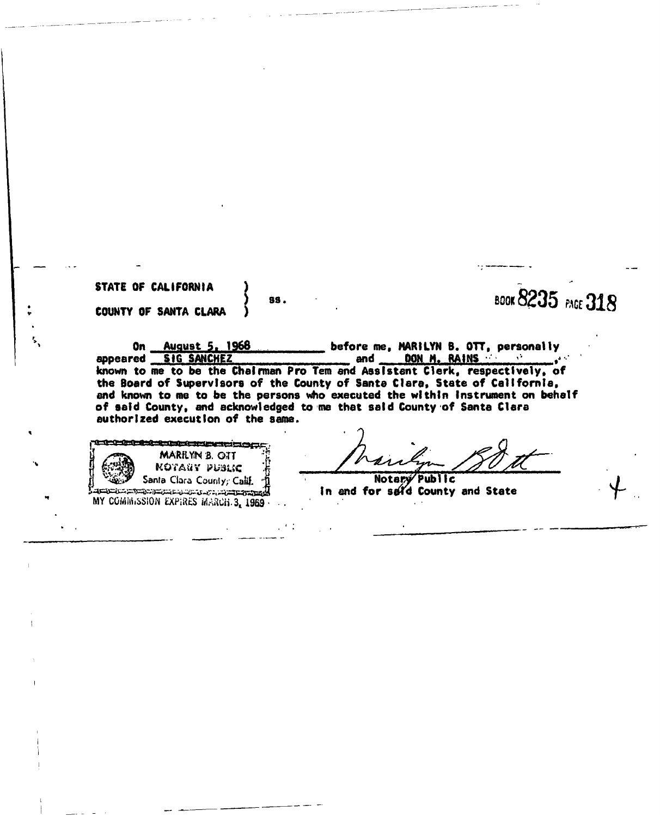**STATE OF CALIFORNIA ) COUNTY OF SANTA CLARA )** 

 $\frac{1}{3}$  Book 8235 PAGE 318

**On August 5, 1968** before me, MARILYN B. OTT, personally **and <u>DON M. RAINS</u>** appeared SIG SANCHEZ **and the state of the set of the set of the set of the set of the set of the set of the set of the set of the set of the set of the set of the set of the set of the set of the set of the set of the set** appeared SiG SANCHEZ and DON M. RAINS<br>known to me to be the Chairman Pro Tem and Assistant Clerk, respectively, of **the Board of Supervisors of the County of Santa Clara\* State of California, end known to me to be the persons who executed the within Instrument on behalf of said County, and acknowledged to me that said County of Santa Clara authorized execution of the same.** 

<u> 1979 - Intelected alexander and a component and state</u> MARILYN B. OTT KOTAtcV *wane*  Santa Clara County; Calif. MARCHES COMMISSION EXPIRES MARCH. 3, 1969 •

Notary Public **In and for s&fd County and State**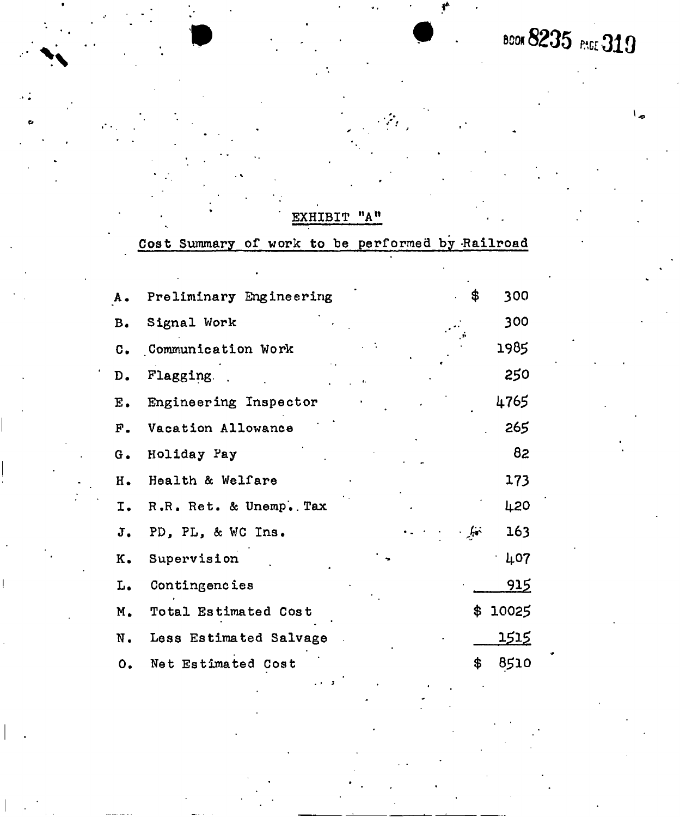**BOOK 8235 PAGE 319** 

 $\mathbf{L}_{\alpha}$ 

## EXHIBIT "A"

Cost Summary of work to be performed by Railroad

| A.                     | \$<br>Preliminary Engineering      | 300           |
|------------------------|------------------------------------|---------------|
| в.                     | Signal Work                        | 300           |
| $\mathbf{c}$ .         | Communication Work                 | 1985          |
| D.                     | Flagging.                          | 250           |
| E.                     | Engineering Inspector              | 4765          |
| $F$ .                  | Vacation Allowance                 | 265           |
| G.                     | Holiday Pay                        | 82            |
| н.                     | Health & Welfare                   | 173           |
| I.                     | R.R. Ret. & Unemp. Tax             | 420           |
| J.                     | $\frac{1}{2}$<br>PD, PL, & WC Ins. | 163           |
| Κ.                     | Supervision                        | 407           |
| L.                     | Contingencies                      | 915           |
| M.                     | \$<br>Total Estimated Cost         | 10025         |
| N.                     | Less Estimated Salvage             | <u> 1515 </u> |
| $\mathsf{o}_{\bullet}$ | \$<br>Net Estimated Cost           | 8510          |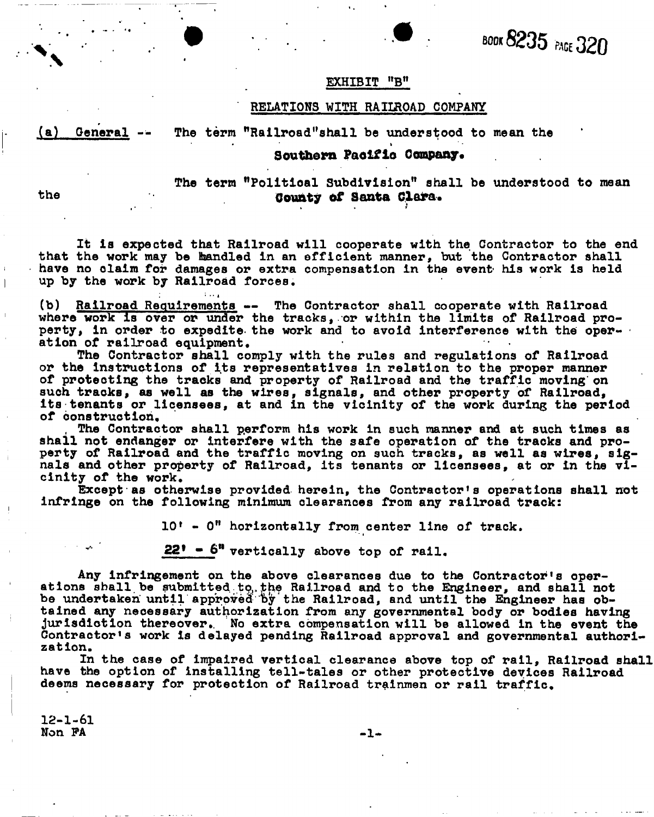**BOOK 8235 PAGE 320** *. . — BO* 

#### **EXHIBIT "B"**

#### **RELATIONS WITH RAIIROAD COMPANY**

(a) General --

## *m***Railroad"shall be understood to mean the**

## • » **Southern Paoifio Company.**

## **understood to mean The term "Political Subdivision" shall be the County of Santa Clara.**

*\* 

**It la expected that Railroad will cooperate with the Contractor to the end that the work may be handled in an efficient manner, but the Contractor shall have no claim for damages or extra compensation in the event- his work is held up by the work by Railroad forces,** 

 $\mathcal{L}=\left\{ \begin{array}{cc} 0 & \text{if } \alpha_{\mathbf{1}} \neq 0 \end{array} \right\}$ **(b) Railroad Requirements — The Contractor shall cooperate with Railroad where work is over or under the tracks, or within the limits of Railroad pro**perty, in order to expedite the work and to avoid interference with the oper**ation of railroad equipment.** 

**The Contractor shall comply with the rules and regulations of Railroad or the instructions of its representatives in relation to the proper manner of protecting the tracks and property of Railroad and the traffic moving on such tracks, as well as the wires, signals, and other property of Railroad, its tenants or licensees, at and in the vicinity of the work during the period of construction,** 

**, The Contractor shall perform his work in such manner and at such times as**  shall not endanger or interfere with the safe operation of the tracks and pro**perty of Railroad and the traffic moving on such tracks, as well as wires, signals and other property of Railroad, Its tenants or licensees, at or in the vicinity of the work.** 

Except as otherwise provided herein, the Contractor's operations shall not **infringe on the following minimum clearances from any railroad track:** 

**10 - 0" horizontally from center line of track.** 

**"" 22\* - 6 M vertically above top of rail.** 

**Any infringement on the above clearances due to the Contractor's operations shall be submitted to,,the Railroad and to the Engineer, and shall not**  be undertaken until approved by the Railroad, and until the Engineer has ob**tained any necessary authorization from any governmental body or bodies having jurisdiction thereover,. No extra compensation will be allowed in the event the Contractor's work is delayed pending Railroad approval and governmental authorization.** 

**In the case of impaired vertical clearance above top of rail, Railroad shall have the option of installing tell-tales or other protective devices Railroad deems necessary for protection of Railroad trainmen or rail traffic.** 

12-1-61 **Non PA <sup>1</sup> -**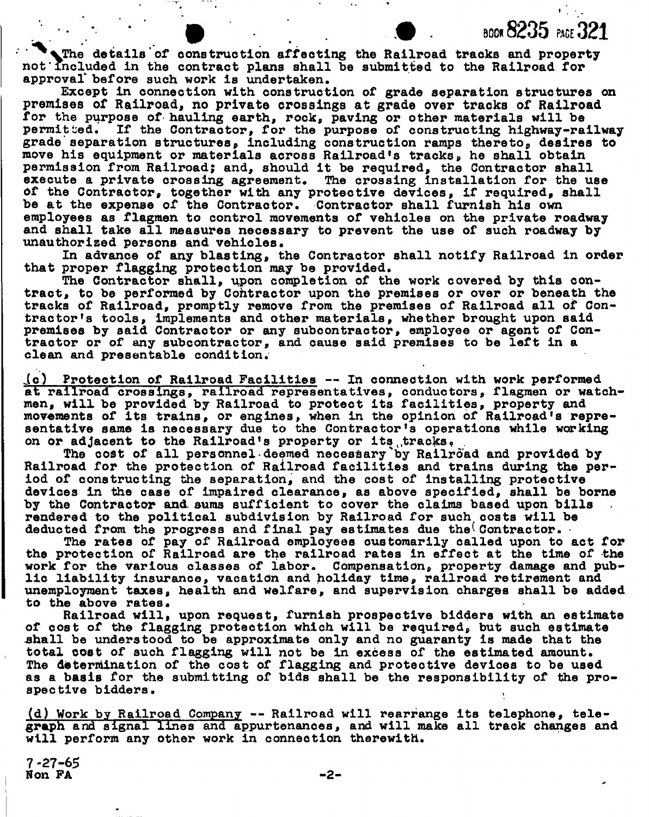The details of construction affecting the Railroad tracks and property not'included in the contract plans shall be submitted to the Railroad for approval' before such work is undertaken.

**BOOK 8235** PAGE 321

Except in connection with construction of grade separation structures on premises of Railroad, no private crossings at grade over tracks of Railroad for the purpose of hauling earth, rock, paving or other materials will be permitted. If the Contractor, for the purpose of constructing highway-railway grade'separation structures, including construction ramps thereto, desires to move his equipment or materials across Railroad\*s tracks, he shall obtain permission from Railroad; and, should it be required, the Contractor shall execute a private crossing agreement. The crossing Installation for the use Of the Contractor, together with any protective devices, if required, shall be at the expense of the Contractor. Contractor shall furnish his own employees as flagmen to control movements of vehicles on the private roadway and shall take all measures necessary to prevent the use of such roadway by unauthorized persons and vehicles.

In advance of any blasting, the Contractor shall notify Railroad in order that proper flagging protection may be provided.

The Contractor shall, upon completion of the work covered by this contract, to be performed by Contractor upon the premises or over or beneath the tracks of Railroad, promptly remove from the premises of Railroad all of Contractor's tools, Implements and other materials, whether brought upon said premises by said Contractor or any subcontractor, employee or agent of Contractor or of any subcontractor, and cause said premises to be left in a clean and presentable condition.

i c) Protection of Railroad Facilities — In connection with work performed at railroad crossings, railroad representatives, conductors, flagmen or watchmen, will be provided by Railroad to protect its facilities, property and 1 movements of its trains, or engines, when in the opinion of Railroad's representative same is necessary due to the Contractor's operations while working on or adjacent to the Railroad's property or its tracks.

The cost of all personnel deemed necessary by Railroad and provided by Railroad for the protection of Railroad facilities and trains during the period of constructing the separation, and the cost of installing protective devices in the case of impaired clearance, as above specified, shall be borne by the Contractor and. sums sufficient to cover the claims based upon bills rendered to the political subdivision by Railroad for such costs will be deducted from the progress and final pay estimates due the Contractor.

The rates of pay of Railroad employees customarily called upon to act for the protection of Railroad are the railroad rates in effect at the time of the work for the various classes of labor. Compensation, property damage and public liability insurance, vacation and holiday time, railroad retirement and unemployment taxes, health and Welfare, and supervision charges shall be added to the above rates.

Railroad will, upon request, furnish prospective bidders with an estimate of cost of the flagging protection which will be required, but such estimate .shall be understood to be approximate only and no guaranty is made that the total cost of such flagging will not be in excess of the estimated amount. The determination of the cost of flagging and protective devices to be used as a basis for the submitting of bids shall be the responsibility of the prospective bidders.

(d) Work by Railroad Company — Railroad will rearrange its telephone, telegraph and signal lines and appurtenances, and will make all track changes and will perform any other work in connection therewith.

**7 -27-65**  Non FA $-2-$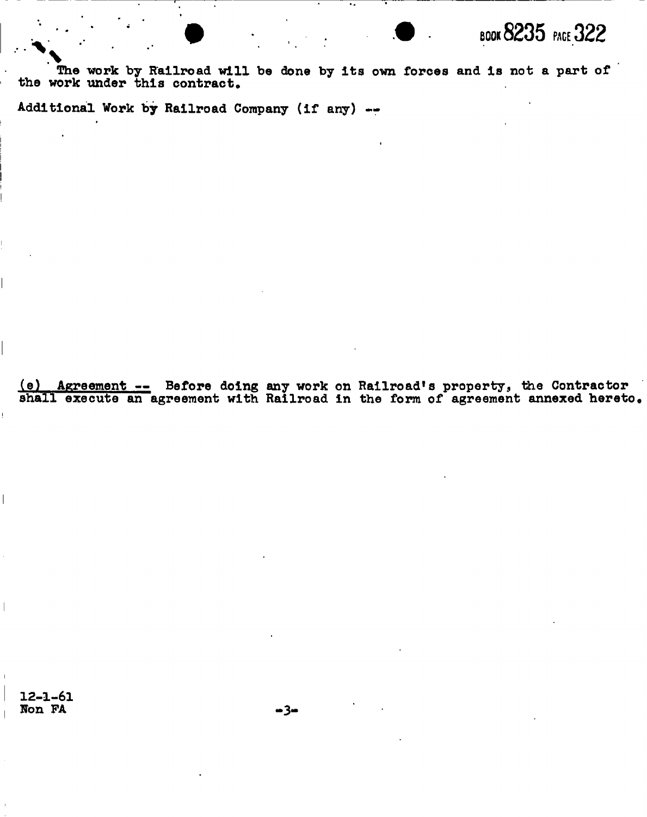

The work by Railroad will be done by its own forces and is not a part of the work under this contract.

Additional Work by Railroad Company (if any) --

(e) Agreement -- Before doing any work on Railroad's property, the Contractor shall execute an agreement with Railroad in the form of agreement annexed hereto.

 $12 - 1 - 61$ Non FA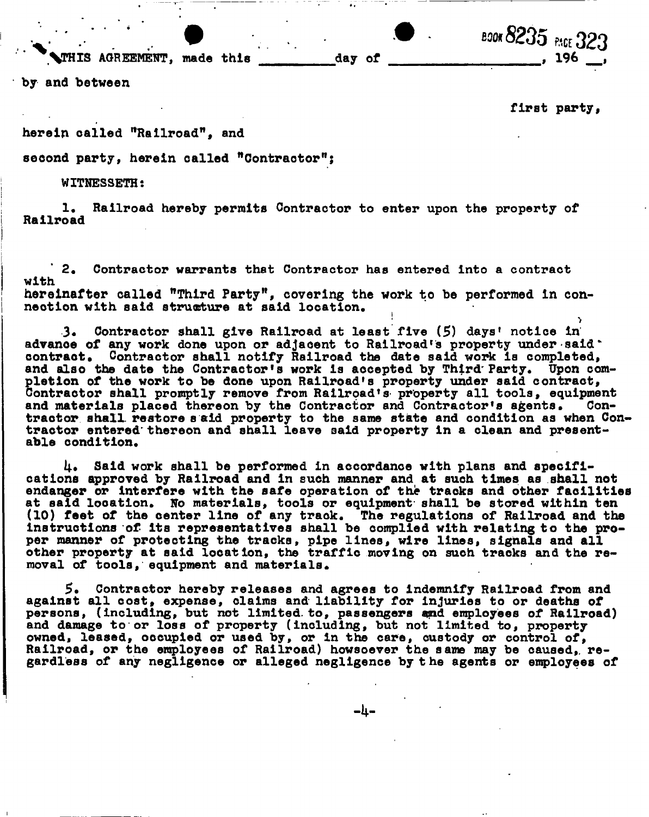**. • •• • "0\*8235 pace 323** 

 $\overline{\mathbf{A}}$  ,  $\overline{\mathbf{A}}$  ,  $\overline{\mathbf{A}}$  ,  $\overline{\mathbf{A}}$  ,  $\overline{\mathbf{A}}$  ,  $\overline{\mathbf{A}}$  ,  $\overline{\mathbf{A}}$  ,  $\overline{\mathbf{A}}$  ,  $\overline{\mathbf{A}}$  ,  $\overline{\mathbf{A}}$  ,  $\overline{\mathbf{A}}$  ,  $\overline{\mathbf{A}}$  ,  $\overline{\mathbf{A}}$  ,  $\overline{\mathbf{A}}$  ,  $\overline{\mathbf{A}}$  ,  $\overline{\mathbf{A}}$ 

first party,

herein called "Railroad". and

second party, herein called "Contractor";

**second party, herein called "Contractor";** 

**WITNESSETH: 1, Railroad hereby permits Contractor to enter upon the property of Railroad** 

**2. Contractor warrants that Contractor has entered into a contract with hereinafter called "Third Party", covering the work to be performed in connection with said structure at said location.** 

**3\* Contractor shall give Railroad at least five (5) days' notice in advanoe of any work done upon or adjacent to Railroad's property under-said" contract. Contractor shall notify Railroad the date said work is completed, and also the date the Contractor's work Is accepted by Third'Party. Upon com-** § **ontractor shall promptly remove from Railroad's property all tools, equipment letion of the work to be done upon Railroad's property under said contract, and materials placed thereon by the Contractor and Contractor's agents. Contractor shall, restore s aid property to the same state and condition as when Con**tractor entered thereon and shall leave said property in a clean and present**able condition.** 

**Said work shall be performed in accordance with plans and specifications approved by Railroad and in such manner and at such times as shall not endanger or interfere with the safe operation of the tracks and other facilities at said location. No materials, tools or equipment shall be stored within ten (10) feet of the center line of any track. The regulations of Railroad and the instructions of its representatives shall be complied with relating to the proper manner of protecting the tracks, pipe lines, wire lines, signals and all other property at said location, the traffic moving on such tracks and the removal of tools, equipment and materials.** 

**5. Contractor hereby releases and agrees to indemnify Railroad from and**  against all cost, expense, claims and liability for injuries to or deaths of persons, (including, but not limited to, passengers and employees of Railroad) producing, and the contract of property (including, but not limited to, property and damage to or level of property. Including, the new limited to, property, owned, leased, occupied or used by, or in the care, custody or control of, comparison to the employees of Railroad) howsoever the same may be caused, r Rardless of any negligence or alleged negligence by the agents or employees o **gardless of any negligence or alleged negligence by the agents or employees of** 

 $-l_1-$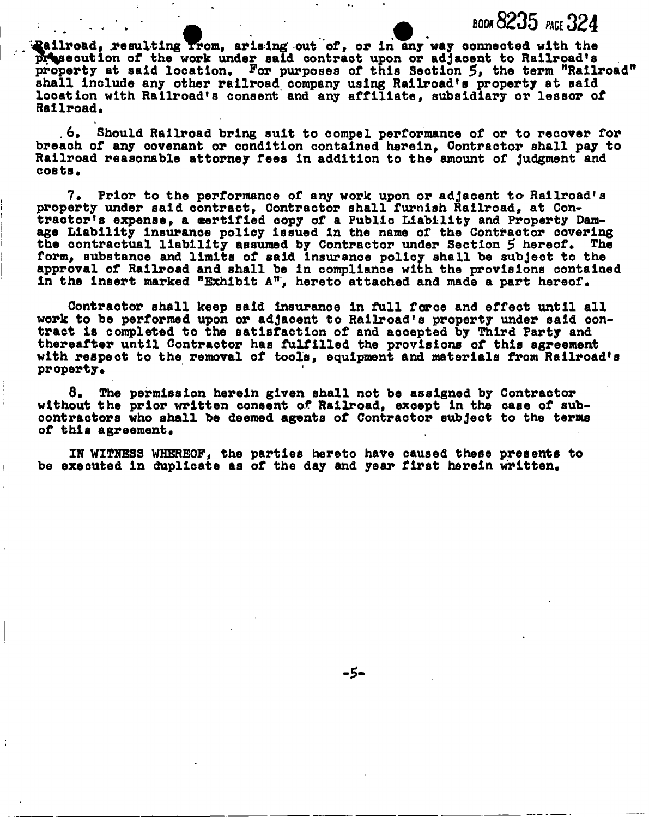**Railroad, resulting from, arising out of, or in any way connected with the** presecution of the work under said contract upon or adjacent to Railroad's property at said location. For purposes of this Section 5, the term "Railroad's shall include any other railroad company using Railroad's property at said **f location with Railroad's consent and any affiliate, subsidiary or lessor of Railroad.** 

**- 0 book8235 pace 324** 

**. 6, Should Railroad bring suit to compel performance of or to recover for breach of any covenant or condition contained herein, Contractor shall pay to Railroad reasonable attorney fees in addition to the amount of judgment and costs\*** 

7. Prior to the performance of any work upon or adjacent to Railroad's **property under said contract, Contractor shall furnish Railroad, at Contractor's expense, a certified copy of a Public Liability and Property Damage Liability Insurance policy issued in the name of the Contractor covering**  the contractual liability assumed by Contractor under Section 5 hereof. The **form, substance and limits of said insurance policy shall be subjeot to the approval of Railroad and shall be In compliance with the provlsions contained in the insert marked "Exhibit A", hereto attached and made a part hereof.** 

**Contractor shall keep said Insurance in full force and effect until all work to be performed upon or adjacent to Railroad's property under said contract is completed to the satisfaction of and accepted by Third Party and thereafter until Contractor has fulfilled the provisions of this agreement with respeot to the removal of tools, equipment and materials from Railroad's property.** 

**8. The permission herein given shall not be assigned by Contractor without the prior written consent of Railroad, except In the case of subcontractors who shall be deemed agents of Contractor subject to the terms of this agreement.** 

**IK WITNESS WHEREOF, the parties hereto have caused these presents to be executed in duplicate as of the day and year first herein written.**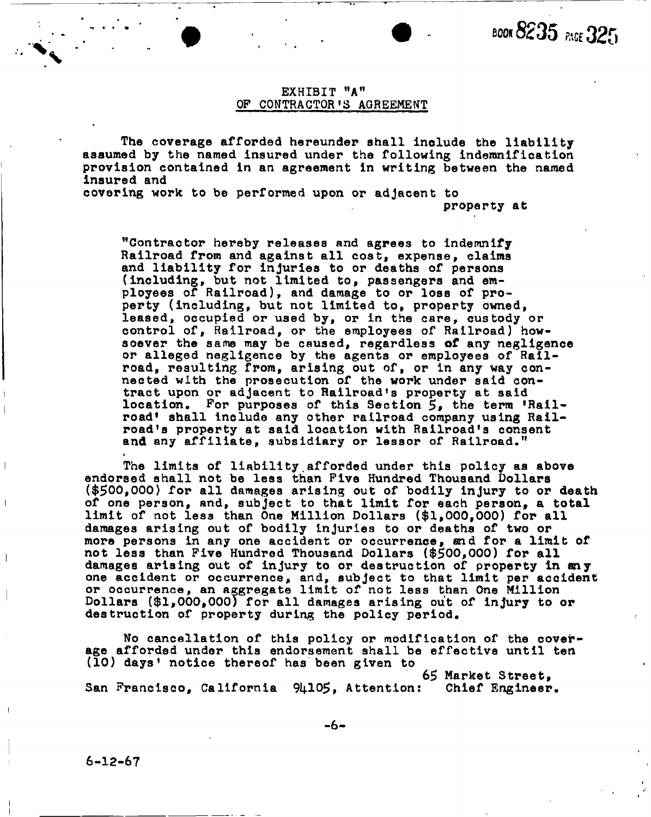## EXHIBIT "A" OF CONTRACTOR'S AGREEMENT

The coverage afforded hereunder shall include the liability assumed by the named insured under the following indemnification provision contained in an agreement in writing between the named insured and

covering work to be performed upon or adjacent to property at

"Contractor hereby releases and agrees to indemnify Railroad from and against all cost, expense, claims and liability for injuries to or deaths of persons (including, but not limited to, passengers and employees of Railroad), and damage to or loss of property (including, but not limited to, property owned, leased, occupied or used by, or in the care, custody or control of, Railroad, or the employees of Railroad) howsoever the same may be caused, regardless **of** any negligence or alleged negligence by the agents or employees of Railroad, resulting from, arising out of, or in any way connected with the prosecution of the work under said contract upon or adjacent to Railroad's property at said location. For purposes of this Section 5, the term 'Railroad shall include any other railroad company using Railroad's property at said location with Railroad's consent and any affiliate, subsidiary or lessor of Railroad."

The limits of liability.afforded under this policy as above endorsed shall not be less than Five Hundred Thousand Dollars (\$500,000) for all damages arising out of bodily injury to or death of one person, and, subject to that limit for each person, a total limit of not less than One Million Dollars (\$1,000,000) for all damages arising out of bodily injuries to or deaths of two or more persons in any one accident or occurrence, and for a limit of not less than Five Hundred Thousand Dollars (\$500,000) for all damages arising out of injury to or destruction of property in any one accident or occurrence, and, subject to that limit per accident or occurrence, an aggregate limit of not less than One Million Dollars (\$1,000,000) for all damages arising out of injury to or destruction of property during the policy period.

No cancellation of this policy or modification of the coverage afforded under this endorsement shall be effective until ten (10) days' notice thereof has been given to

65 Market Street, San Francisco, California 94105, Attention:

6-12-67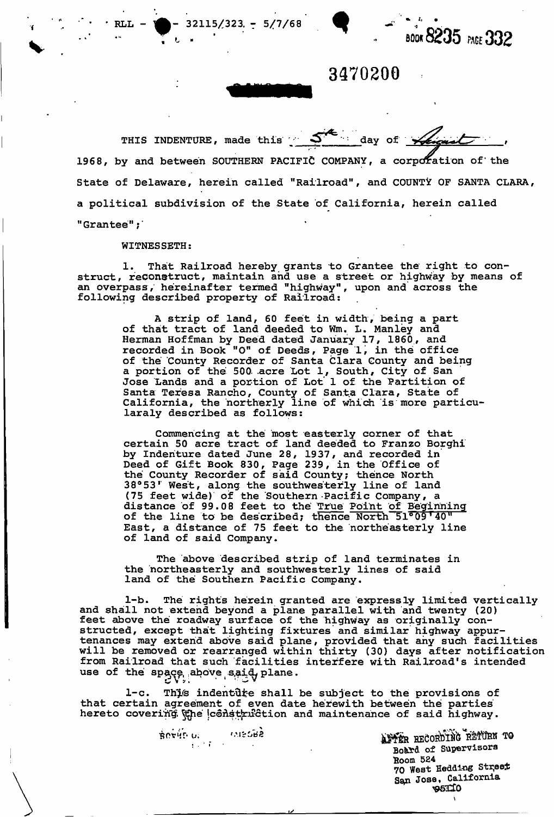

**3470200** 

THIS INDENTURE, made this  $S^{\mathcal{A}}$  day of  $\mathcal{A}_{\mathcal{A}}$ 1968, by and between SOUTHERN PACIFIC COMPANY, a corporation of the State of Delaware, herein called "Railroad", and COUNTY OF SANTA CLARA, a political subdivision of the State of California, herein called "Grantee";'

#### WITNESSETH:

 $\text{RLL} - \text{N} - 32115/323 - 5/7/68$ 

1. That Railroad hereby grants to Grantee the right to construct, reconstruct, maintain and use a street or highway by means of an overpass, hereinafter termed "highway", upon and across the following described property of Railroad;

A strip of land, 60 feet in width, being a part of that tract of land deeded to Wm. L . Manley and Herman Hoffman by Deed dated January 17, I860, and recorded in Book "O" of Deeds, Page 1, in the office of the County Recorder of Santa Clara County and being a portion of the 500 acre Lot 1, South, City of San Jose Lands and a portion of Lot' 1 of the Partition of Santa Teresa Rancho, County of Santa Clara, State of California, the northerly line of which is more particularaly described as follows:

Commencing at the most easterly corner of that certain 50 acre tract of land deeded to Franzo Borghi by Indenture dated June 28, 1937, and recorded in Deed of Gift Book 830, Page 239, in the Office of the County Recorder of said County; thence North 38°53' West, along, the southwesterly line of land (75 feet wide) of the Southern Pacific Company, a (75 feet wide) of the southern Facific Company, a<br>distance of 99.08 feet to the True Point of Beginning distance of 99.06 feet to the <u>True Point of Beginnin</u><br>of the line to be described; thence North 51009'40" East, a distance of 75 feet to the northeasterly line of land of said Company.

The above described strip of land terminates in the northeasterly and southwesterly lines of said land of the Southern Pacific Company.

1-b. The rights herein granted are expressly limited vertically and shall not extend beyond a plane parallel with and twenty (20) feet above the roadway surface of the highway as originally constructed, except that lighting fixtures and similar highway appurtenances may extend above said plane, provided that any such facilities will be removed or rearranged within thirty (30) days after notification from Railroad that such facilities interfere with Railroad's intended use of the  $spgq,$  above  $s,q,d$  plane.

1-c. This indentute shall be subject to the provisions of that certain agreement of even date herewith between the parties hereto covering the construction and maintenance of said highway.

sovinu. Inscrit is a more after RECORDING RETURN TO Board of Supervisors **fcoom 524**  70 **West Heading Str,ee**.t **Sgpi Jose, California**  ^963X0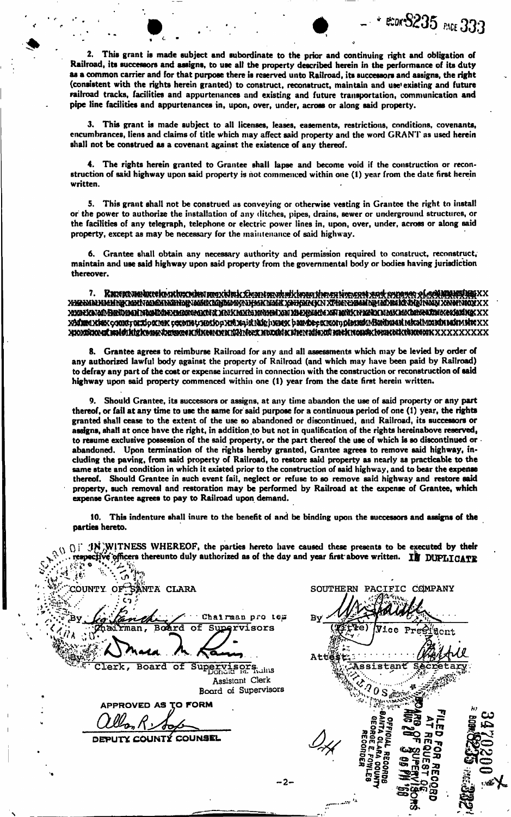2. This grant is made subject and subordinate to the prior and continuing right and obligation of Railroad, its successors and assigns, to use all the property described herein in the performance of its duty as a common carrier and for that purpose there is reserved unto Railroad, its successors and assigns, the right (consistent with the rights herein granted) to construct, reconstruct, maintain and use existing and future railroad tracks, facilities and appurtenances and existing and future transportation, communication and pipe line facilities and appurtenances in, upon, over, under, across or along said property.

# 333

3. This grant is made subject to all licenses, leases, easements, restrictions, conditions, covenants, encumbrances, liens and claims of title which may affect said property and the word GRANT as used herein shall not be construed as a covenant against the existence of any thereof.

4. The rights herein granted to Grantee shall lapse and become void if the construction or reconstruction of said highway upon said property is hot commenced within one (1) year from the date first herein written.

5. This grant shall not be construed as conveying or otherwise vesting in Grantee the right to install or the power to authorize the installation of any riitchcs, pipes, drains, sewer or underground structures, or the facilities of any telegraph, telephone or electric power lines in, upon, over, under, across or along said property, except as may be necessary for the maintenance of said highway.

6. Grantee shall obtain any necessary authority and permission required to construct, reconstruct, maintain and use said highway upon said property from the governmental body or bodies having jurisdiction thereover.

7. RmKKieitoatk^ xxalkatan Radiyaah shalide xwaano xwa xink win xweed xalxhali xalaan sadix waarin mux macadaelina xaxladika xx XAMMAX kex comtruito man retone trotio pxnix-pia alighumax bande e man pionedu Arainae a man man men mete XX H10Minnan haldikin kemendan kali yang kendalan kali yang kenda kali yang kemenda kali yang kenda kali kenda k

8. Grantee agrees to reimburse Railroad for any and all assessments which may be levied by order of any authorized lawful body against the property of Railroad (and which may have been paid by Railroad) to defray any part of the cost or expense incurred in connection with the construction or reconstruction of said highway upon said property commenced within one (1) year from the date first herein written.

9. Should Grantee, its successors or assigns, at any time abandon the use of said property or any part thereof, or fail at any time to use the same for said purpose for a continuous period of one (1) year, the rights granted shall cease to the extent of the use so abandoned or discontinued, and Railroad, its successors or assigns, shall at once have the right, in addition to but not in qualification of the rights hereinabove reserved, to resume exclusive possession of the said property, or the part thereof the use of which is so discontinued or abandoned. Upon termination of the rights hereby granted, Grantee agrees to remove said highway, including the paving, from said property of Railroad, to restore said property as nearly as practicable to the same state and condition in which it existed prior to the construction of said highway, and to bear the expense thereof. Should Grantee in such event fail, neglect or refuse to so remove said highway and restore said property, such removal and restoration may be performed by Railroad at the expense of Grantee, which expense Grantee agrees to pay to Railroad upon demand.

10. This indenture shall inure to the benefit of and be binding upon the successors and assigns of the parties hereto.

 $(1)$  JN WITNESS WHEREOF, the parties hereto have caused these presents to be executed by their officers thereunto duly authorized as of the day and year first above written. If DUPLICATE

COUNTY OF SANTA CLARA SOUTHERN PACIFIC COMPANY • Chairman pro tem B. man, **Roðr**ð Supervisors oΕ Φe) Vice  $P<sub>T</sub>$ dont Clerk, Board of Supervisors. istant Assistant Clerk Board of Supervisors APPROVED AS TO FORM **PI**  COUNTÝ COUNSEL Thirty State<br>Parties State<br>DRiver : - *<c\**cogo rn **p-T5> »**  2§§ ^g^g H rn  $\mathbb{F}_1$  . - 2-

<u>হ</u> ā.<br>.

 $\tilde{\mathbf{g}}$   $\mathbf{g}$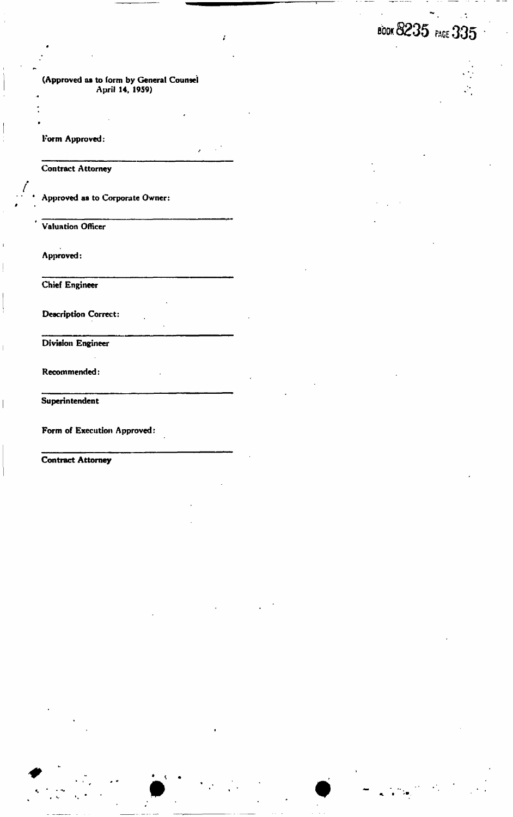#### (Approved as to form by General Counsel April 14, 1959)

Form Approved:

«

*» i* 

*0* 

 $\overline{\phantom{a}}$ 

*/* 

• ••••'•• • -....

Contract Attorney

Approved as to Corporate Owner:

**Valuation Officer** 

Approved:

Chief Engineer

Description Correct:

Division Engineer

Recommended:

Superintendent

Form of Execution Approved:

Contract Attorney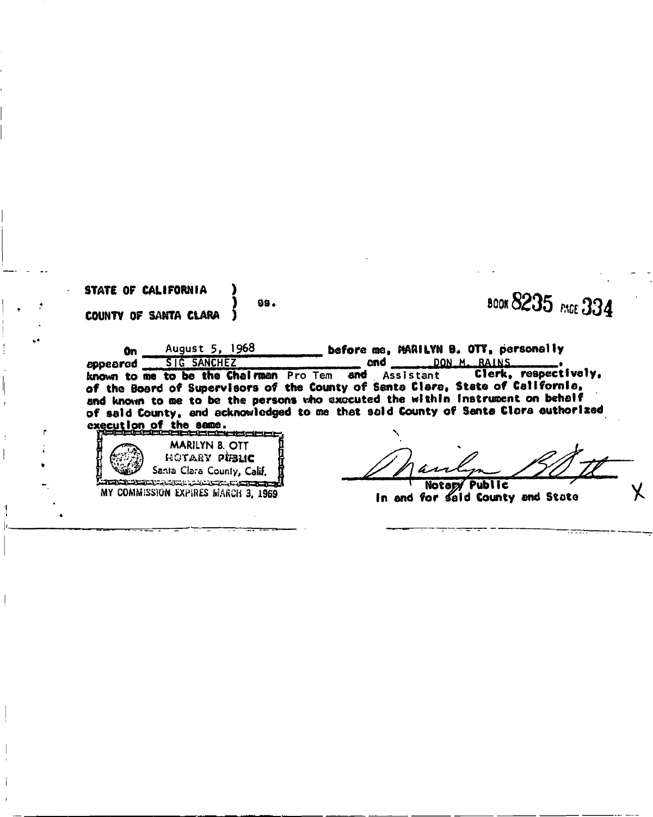| STATE OF CALIFORNIA<br>COUNTY OF SANTA CLARA | 99.                                                                                                                                                                                                         | <b>BOOK 8235</b> PACE 334                                                                                                                                                                                                      |
|----------------------------------------------|-------------------------------------------------------------------------------------------------------------------------------------------------------------------------------------------------------------|--------------------------------------------------------------------------------------------------------------------------------------------------------------------------------------------------------------------------------|
| 0n<br>eddeared                               | August 5, 1968<br>SIG SANCHEZ                                                                                                                                                                               | before me, MARILYN B. OTT, personally<br>DON M. RAINS<br>and<br>Clerk, respectively,<br>known to me to be the Chairman Pro Tem and Assistant<br>of the Board of Supervisors of the County of Santa Clare, State of California, |
| execution of the same.                       | stala alama ang lain at ang mga mga mga mga<br><b>MARILYN B. OTT</b>                                                                                                                                        | and known to me to be the persons who executed the within instrument on behalf<br>of said County, and acknowledged to me that said County of Santa Clara authorized                                                            |
|                                              | HOTARY PUBLIC<br>Santa Clara County, Calif.<br><u>الموسود والمراسين المريد المراسين المريد المراسين المراسين المريد المريد المريد المريد المريد المريد المريد ال</u><br>MY COMMISSION EXPIRES MARCH 3, 1969 | Notary Public<br>In and for said County and State                                                                                                                                                                              |

I

**I**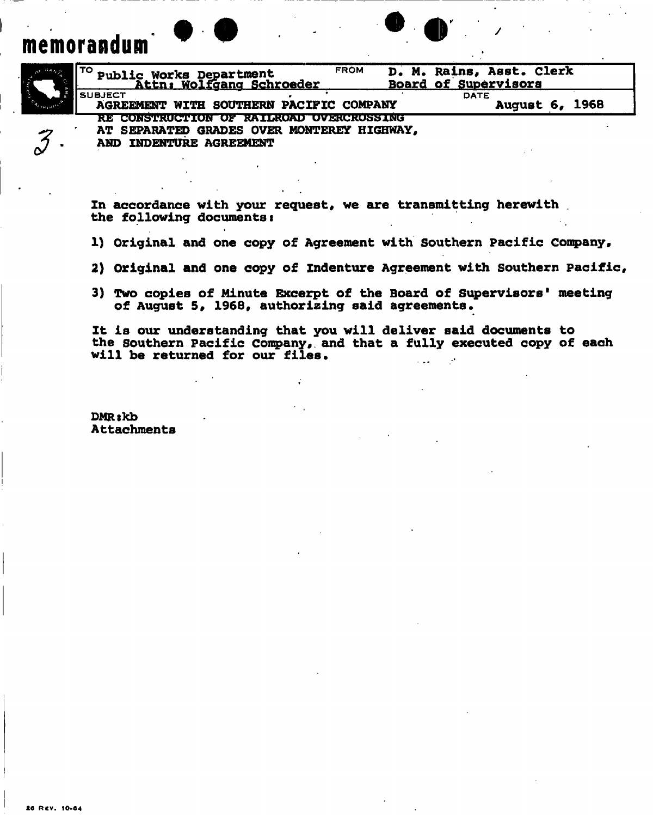# memorandum

៷

| $e^{O(\ln \frac{1}{\epsilon})}$ | D. M. Rains, Asst. Clerk<br><b>FROM</b><br>Public Works Department<br>Attn: Wolfgang Schroeder<br>Board of Supervisors |
|---------------------------------|------------------------------------------------------------------------------------------------------------------------|
|                                 | <b>SUBJECT</b><br><b>DATE</b><br>AGREEMENT WITH SOUTHERN PACIFIC COMPANY<br><b>August 6, 1968</b>                      |
| $\rightarrow$<br>∼              | RE CONSTRUCTION OF RAILROAD OVERCROSSING<br>AT SEPARATED GRADES OVER MONTEREY HIGHWAY,<br>INDENTURE AGREEMENT<br>AND   |

 $\bullet$   $\bullet$ 

**In accordance with your request, we are transmitting herewith . the following documents:** 

1) Original and one copy of Agreement with Southern Pacific Company,

- **2) Original and one copy of Indenture Agreement with Southern Pacific,**
- **3) Two copies of Minute Excerpt of the Board of Supervisors meeting of August 5, 1968, authorizing said agreements.**

**It is our understanding that you will deliver said documents to the Southern Pacific Company,, and that a fully executed copy of each will be returned for our files.** 

**DMRskb Attachments**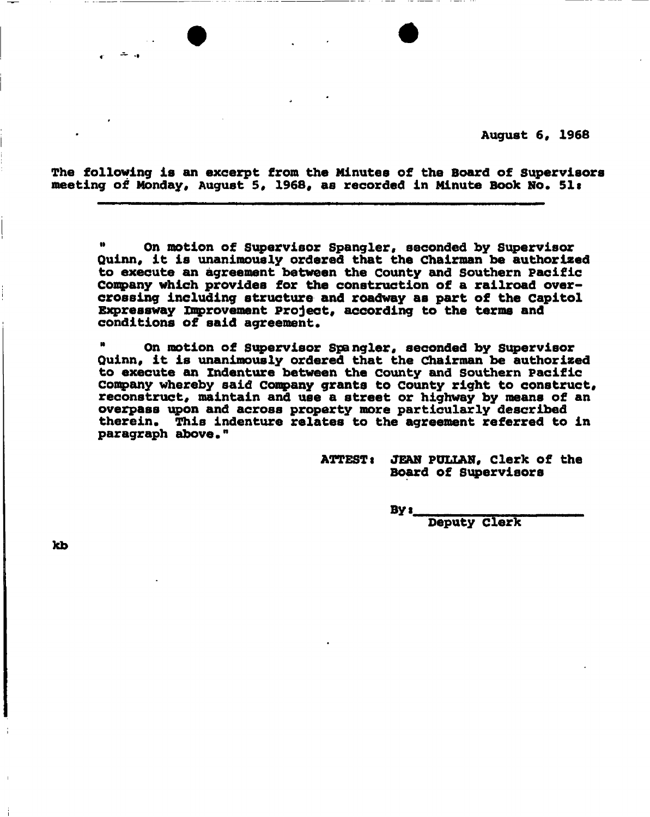**August 6, 1968** 

**The following is an excerpt from the Minutes of the Board of Supervisors meeting of Monday, August 5, 1968, as recorded in Minute Book No\* 51t** 

**" On motion of Supervisor Spangler, seconded by Supervisor Quinn, it is unanimously ordered that the Chairman be authorized to execute an agreement between the County and Southern Pacific Company which provides for the construction of a railroad overcrossing including structure and roadway aB part of the Capitol Expressway improvement Project, according to the terms and conditions of said agreement.** 

 **On motion of Supervisor Spangler, seconded by Supervisor Quinn, it is unanimously ordered that the Chairman be authorized to execute an Indenture between the County and Southern Pacific Company whereby said Company grants to county right to construct, reconstruct, maintain and use a street or highway by means of an overpass upon and across property more particularly described**  therein. This indenture relates to the agreement referred to in **paragraph above.**

> **ATTEST: JEAN PULLAN, Clerk of the Board of Supervisors**

> > **By t**

**Deputy Clerk** 

kb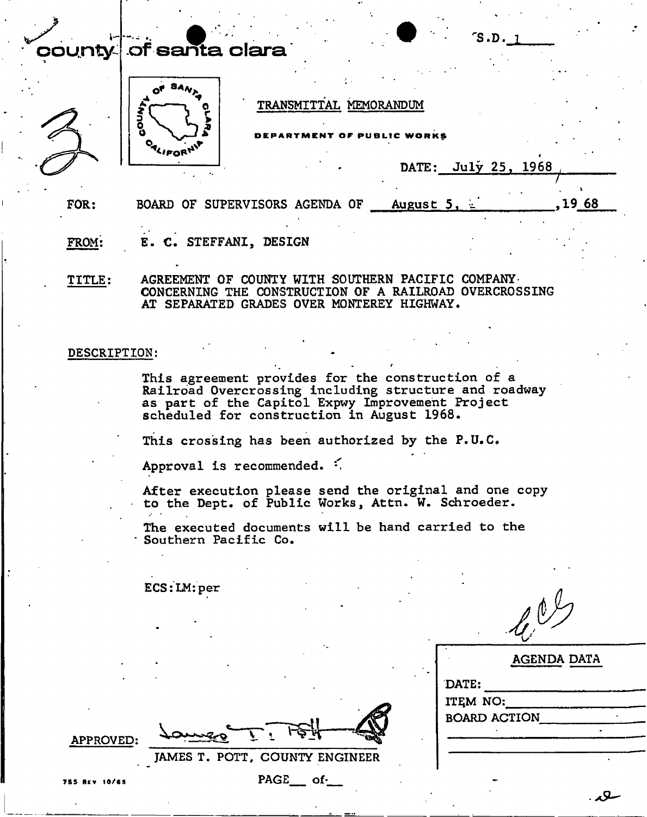## $\ddot{\phantom{0}}$ county of santa clara





### TRANSMITTAL MEMORANDUM

**DEPARTMEN T O F PUBLI C WORK S** 

|  | DATE: | July 25, |  | 1968 |
|--|-------|----------|--|------|
|--|-------|----------|--|------|

S.D. l

FOR: BOARD OF SUPERVISORS AGENDA OF August 5,  $\frac{1}{2}$ , 1968

FROM: E. C. STEFFANI, DESIGN

TITLE: AGREEMENT OF COUNTY WITH SOUTHERN PACIFIC COMPANY-CONCERNING THE CONSTRUCTION OF A RAILROAD OVERCROSSING AT SEPARATED GRADES OVER MONTEREY HIGHWAY.

#### DESCRIPTION:

This agreement provides for the construction of a Railroad Overcrossing including structure and roadway as part of the Capitol Expwy Improvement Project scheduled for construction in August 1968.

This crossing has been authorized by the P.U.C

Approval is recommended.  $\leq$ 

After execution please send the original and one copy to the Dept. of Public Works, Attn. W. Schroeder.

The executed documents will be hand carried to the Southern Pacific Co.

ECS:LM:per

 $\mathcal{L}^{0}$ 

| <b>AGENDA DATA</b>  |  |
|---------------------|--|
| DATE:               |  |
| ITEM NO:            |  |
| <b>BOARD ACTION</b> |  |
|                     |  |
|                     |  |
|                     |  |

APPROVED:

JAMES T. POTT, COUNTY ENGINEER

**7B5 Rev 10/65 5**PAGE of-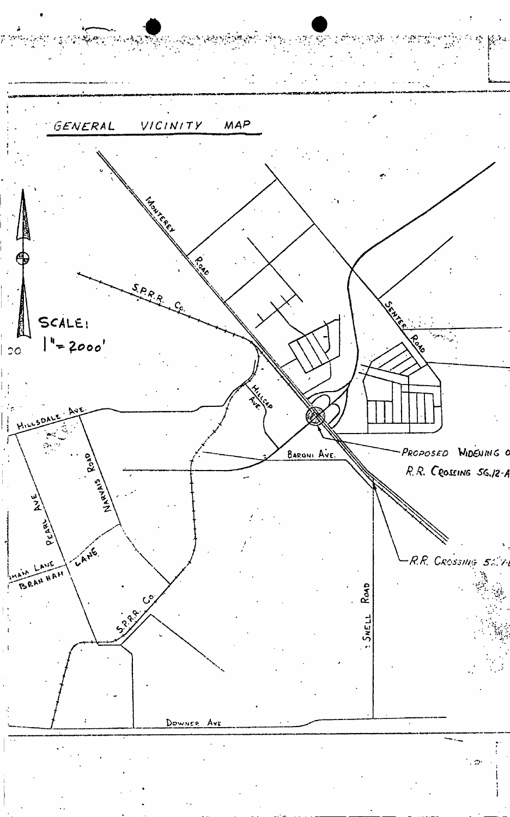